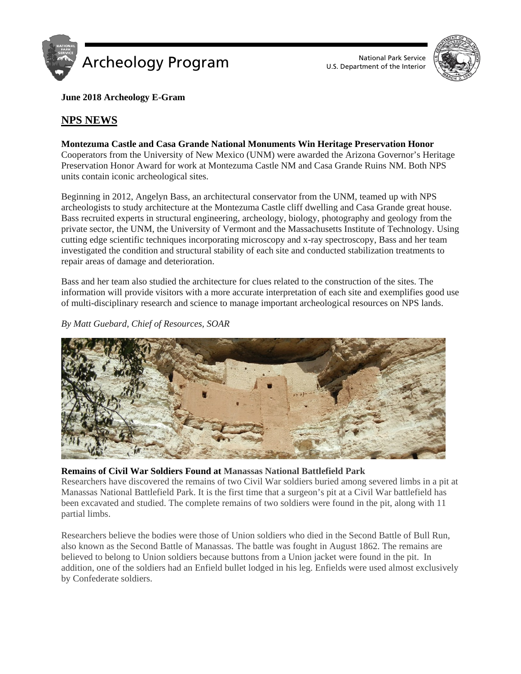

U.S. Department of the Interior



**June 2018 Archeology E-Gram**

# **NPS NEWS**

## **Montezuma Castle and Casa Grande National Monuments Win Heritage Preservation Honor**

Cooperators from the University of New Mexico (UNM) were awarded the Arizona Governor's Heritage Preservation Honor Award for work at Montezuma Castle NM and Casa Grande Ruins NM. Both NPS units contain iconic archeological sites.

Beginning in 2012, Angelyn Bass, an architectural conservator from the UNM, teamed up with NPS archeologists to study architecture at the Montezuma Castle cliff dwelling and Casa Grande great house. Bass recruited experts in structural engineering, archeology, biology, photography and geology from the private sector, the UNM, the University of Vermont and the Massachusetts Institute of Technology. Using cutting edge scientific techniques incorporating microscopy and x-ray spectroscopy, Bass and her team investigated the condition and structural stability of each site and conducted stabilization treatments to repair areas of damage and deterioration.

Bass and her team also studied the architecture for clues related to the construction of the sites. The information will provide visitors with a more accurate interpretation of each site and exemplifies good use of multi-disciplinary research and science to manage important archeological resources on NPS lands.

*By Matt Guebard, Chief of Resources, SOAR*



### **Remains of Civil War Soldiers Found at Manassas National Battlefield Park**

Researchers have discovered the remains of two Civil War soldiers buried among severed limbs in a pit at Manassas National Battlefield Park. It is the first time that a surgeon's pit at a Civil War battlefield has been excavated and studied. The complete remains of two soldiers were found in the pit, along with 11 partial limbs.

Researchers believe the bodies were those of Union soldiers who died in the Second Battle of Bull Run, also known as the Second Battle of Manassas. The battle was fought in August 1862. The remains are believed to belong to Union soldiers because buttons from a Union jacket were found in the pit. In addition, one of the soldiers had an Enfield bullet lodged in his leg. Enfields were used almost exclusively by Confederate soldiers.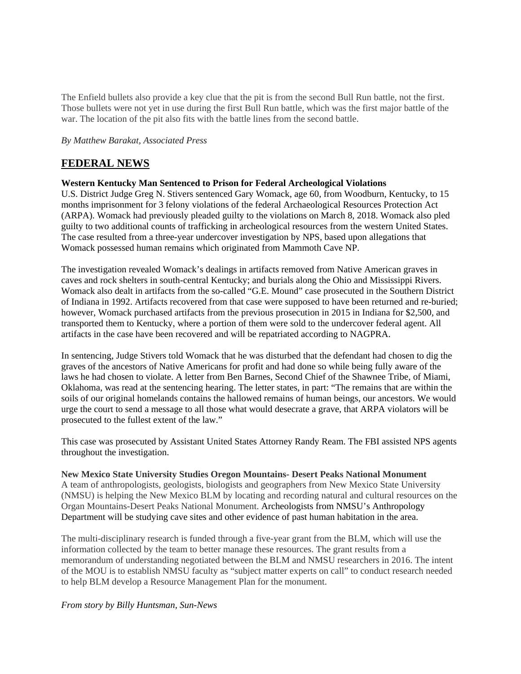The Enfield bullets also provide a key clue that the pit is from the second Bull Run battle, not the first. Those bullets were not yet in use during the first Bull Run battle, which was the first major battle of the war. The location of the pit also fits with the battle lines from the second battle.

*By Matthew Barakat, Associated Press*

# **FEDERAL NEWS**

#### **Western Kentucky Man Sentenced to Prison for Federal Archeological Violations**

U.S. District Judge Greg N. Stivers sentenced Gary Womack, age 60, from Woodburn, Kentucky, to 15 months imprisonment for 3 felony violations of the federal Archaeological Resources Protection Act (ARPA). Womack had previously pleaded guilty to the violations on March 8, 2018. Womack also pled guilty to two additional counts of trafficking in archeological resources from the western United States. The case resulted from a three-year undercover investigation by NPS, based upon allegations that Womack possessed human remains which originated from Mammoth Cave NP.

The investigation revealed Womack's dealings in artifacts removed from Native American graves in caves and rock shelters in south-central Kentucky; and burials along the Ohio and Mississippi Rivers. Womack also dealt in artifacts from the so-called "G.E. Mound" case prosecuted in the Southern District of Indiana in 1992. Artifacts recovered from that case were supposed to have been returned and re-buried; however, Womack purchased artifacts from the previous prosecution in 2015 in Indiana for \$2,500, and transported them to Kentucky, where a portion of them were sold to the undercover federal agent. All artifacts in the case have been recovered and will be repatriated according to NAGPRA.

In sentencing, Judge Stivers told Womack that he was disturbed that the defendant had chosen to dig the graves of the ancestors of Native Americans for profit and had done so while being fully aware of the laws he had chosen to violate. A letter from Ben Barnes, Second Chief of the Shawnee Tribe, of Miami, Oklahoma, was read at the sentencing hearing. The letter states, in part: "The remains that are within the soils of our original homelands contains the hallowed remains of human beings, our ancestors. We would urge the court to send a message to all those what would desecrate a grave, that ARPA violators will be prosecuted to the fullest extent of the law."

This case was prosecuted by Assistant United States Attorney Randy Ream. The FBI assisted NPS agents throughout the investigation.

**New Mexico State University Studies Oregon Mountains- Desert Peaks National Monument** A team of anthropologists, geologists, biologists and geographers from New Mexico State University (NMSU) is helping the New Mexico BLM by locating and recording natural and cultural resources on the Organ Mountains-Desert Peaks National Monument. Archeologists from NMSU's Anthropology Department will be studying cave sites and other evidence of past human habitation in the area.

The multi-disciplinary research is funded through a five-year grant from the BLM, which will use the information collected by the team to better manage these resources. The grant results from a memorandum of understanding negotiated between the BLM and NMSU researchers in 2016. The intent of the MOU is to establish NMSU faculty as "subject matter experts on call" to conduct research needed to help BLM develop a Resource Management Plan for the monument.

#### *From story by Billy Huntsman, Sun-News*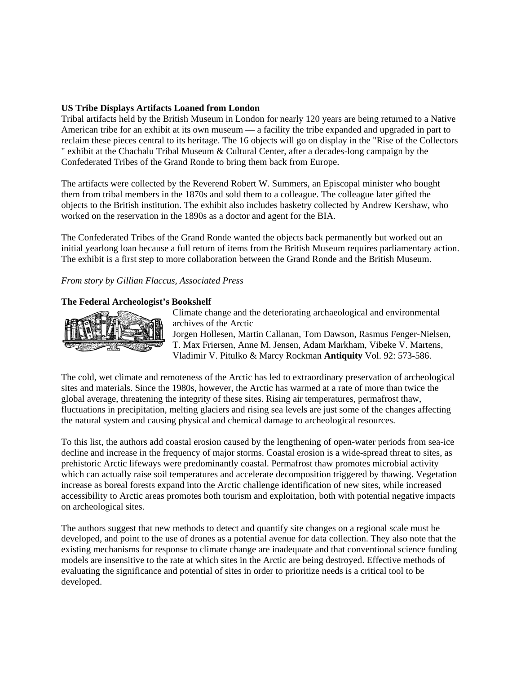#### **US Tribe Displays Artifacts Loaned from London**

Tribal artifacts held by the British Museum in London for nearly 120 years are being returned to a Native American tribe for an exhibit at its own museum — a facility the tribe expanded and upgraded in part to reclaim these pieces central to its heritage. The 16 objects will go on display in the "Rise of the Collectors " exhibit at the Chachalu Tribal Museum & Cultural Center, after a decades-long campaign by the Confederated Tribes of the Grand Ronde to bring them back from Europe.

The artifacts were collected by the Reverend Robert W. Summers, an Episcopal minister who bought them from tribal members in the 1870s and sold them to a colleague. The colleague later gifted the objects to the British institution. The exhibit also includes basketry collected by Andrew Kershaw, who worked on the reservation in the 1890s as a doctor and agent for the BIA.

The Confederated Tribes of the Grand Ronde wanted the objects back permanently but worked out an initial yearlong loan because a full return of items from the British Museum requires parliamentary action. The exhibit is a first step to more collaboration between the Grand Ronde and the British Museum.

*From story by Gillian Flaccus, Associated Press*

### **The Federal Archeologist's Bookshelf**



Climate change and the deteriorating archaeological and environmental archives of the Arctic

Jorgen Hollesen, Martin Callanan, Tom Dawson, Rasmus Fenger-Nielsen, T. Max Friersen, Anne M. Jensen, Adam Markham, Vibeke V. Martens, Vladimir V. Pitulko & Marcy Rockman **Antiquity** Vol. 92: 573-586.

The cold, wet climate and remoteness of the Arctic has led to extraordinary preservation of archeological sites and materials. Since the 1980s, however, the Arctic has warmed at a rate of more than twice the global average, threatening the integrity of these sites. Rising air temperatures, permafrost thaw, fluctuations in precipitation, melting glaciers and rising sea levels are just some of the changes affecting the natural system and causing physical and chemical damage to archeological resources.

To this list, the authors add coastal erosion caused by the lengthening of open-water periods from sea-ice decline and increase in the frequency of major storms. Coastal erosion is a wide-spread threat to sites, as prehistoric Arctic lifeways were predominantly coastal. Permafrost thaw promotes microbial activity which can actually raise soil temperatures and accelerate decomposition triggered by thawing. Vegetation increase as boreal forests expand into the Arctic challenge identification of new sites, while increased accessibility to Arctic areas promotes both tourism and exploitation, both with potential negative impacts on archeological sites.

The authors suggest that new methods to detect and quantify site changes on a regional scale must be developed, and point to the use of drones as a potential avenue for data collection. They also note that the existing mechanisms for response to climate change are inadequate and that conventional science funding models are insensitive to the rate at which sites in the Arctic are being destroyed. Effective methods of evaluating the significance and potential of sites in order to prioritize needs is a critical tool to be developed.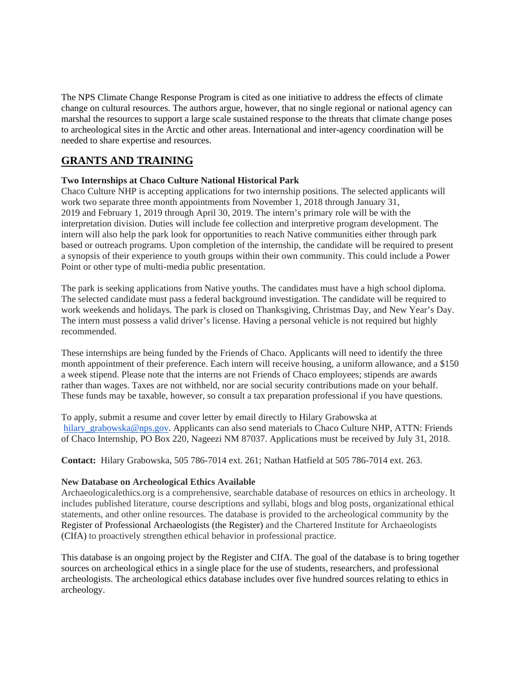The NPS Climate Change Response Program is cited as one initiative to address the effects of climate change on cultural resources. The authors argue, however, that no single regional or national agency can marshal the resources to support a large scale sustained response to the threats that climate change poses to archeological sites in the Arctic and other areas. International and inter-agency coordination will be needed to share expertise and resources.

# **GRANTS AND TRAINING**

### **Two Internships at Chaco Culture National Historical Park**

Chaco Culture NHP is accepting applications for two internship positions. The selected applicants will work two separate three month appointments from November 1, 2018 through January 31, 2019 and February 1, 2019 through April 30, 2019. The intern's primary role will be with the interpretation division. Duties will include fee collection and interpretive program development. The intern will also help the park look for opportunities to reach Native communities either through park based or outreach programs. Upon completion of the internship, the candidate will be required to present a synopsis of their experience to youth groups within their own community. This could include a Power Point or other type of multi-media public presentation.

The park is seeking applications from Native youths. The candidates must have a high school diploma. The selected candidate must pass a federal background investigation. The candidate will be required to work weekends and holidays. The park is closed on Thanksgiving, Christmas Day, and New Year's Day. The intern must possess a valid driver's license. Having a personal vehicle is not required but highly recommended.

These internships are being funded by the Friends of Chaco. Applicants will need to identify the three month appointment of their preference. Each intern will receive housing, a uniform allowance, and a \$150 a week stipend. Please note that the interns are not Friends of Chaco employees; stipends are awards rather than wages. Taxes are not withheld, nor are social security contributions made on your behalf. These funds may be taxable, however, so consult a tax preparation professional if you have questions.

To apply, submit a resume and cover letter by email directly to Hilary Grabowska at [hilary\\_grabowska@nps.gov.](mailto:hilary_grabowska@nps.gov) Applicants can also send materials to Chaco Culture NHP, ATTN: Friends of Chaco Internship, PO Box 220, Nageezi NM 87037. Applications must be received by July 31, 2018.

**Contact:** Hilary Grabowska, 505 786-7014 ext. 261; Nathan Hatfield at 505 786-7014 ext. 263.

#### **New Database on Archeological Ethics Available**

Archaeologicalethics.org is a comprehensive, searchable database of resources on ethics in archeology. It includes published literature, course descriptions and syllabi, blogs and blog posts, organizational ethical statements, and other online resources. The database is provided to the archeological community by the Register of Professional Archaeologists (the Register) and the Chartered Institute for Archaeologists (CIfA) to proactively strengthen ethical behavior in professional practice.

This database is an ongoing project by the Register and CIfA. The goal of the database is to bring together sources on archeological ethics in a single place for the use of students, researchers, and professional archeologists. The archeological ethics database includes over five hundred sources relating to ethics in archeology.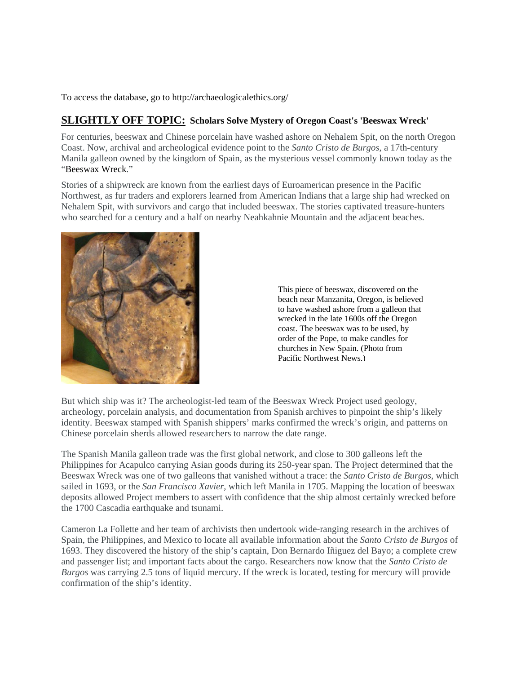To access the database, go to http://archaeologicalethics.org/

## **SLIGHTLY OFF TOPIC: Scholars Solve Mystery of Oregon Coast's 'Beeswax Wreck'**

For centuries, beeswax and Chinese porcelain have washed ashore on Nehalem Spit, on the north Oregon Coast. Now, archival and archeological evidence point to the *Santo Cristo de Burgos*, a 17th-century Manila galleon owned by the kingdom of Spain, as the mysterious vessel commonly known today as the "Beeswax Wreck."

Stories of a shipwreck are known from the earliest days of Euroamerican presence in the Pacific Northwest, as fur traders and explorers learned from American Indians that a large ship had wrecked on Nehalem Spit, with survivors and cargo that included beeswax. The stories captivated treasure-hunters who searched for a century and a half on nearby Neahkahnie Mountain and the adjacent beaches.



This piece of beeswax, discovered on the beach near Manzanita, Oregon, is believed to have washed ashore from a galleon that wrecked in the late 1600s off the Oregon coast. The beeswax was to be used, by order of the Pope, to make candles for churches in New Spain. (Photo from Pacific Northwest News.)

But which ship was it? The archeologist-led team of the Beeswax Wreck Project used geology, archeology, porcelain analysis, and documentation from Spanish archives to pinpoint the ship's likely identity. Beeswax stamped with Spanish shippers' marks confirmed the wreck's origin, and patterns on Chinese porcelain sherds allowed researchers to narrow the date range.

The Spanish Manila galleon trade was the first global network, and close to 300 galleons left the Philippines for Acapulco carrying Asian goods during its 250-year span. The Project determined that the Beeswax Wreck was one of two galleons that vanished without a trace: the *Santo Cristo de Burgos*, which sailed in 1693, or the *San Francisco Xavier*, which left Manila in 1705. Mapping the location of beeswax deposits allowed Project members to assert with confidence that the ship almost certainly wrecked before the 1700 Cascadia earthquake and tsunami.

Cameron La Follette and her team of archivists then undertook wide-ranging research in the archives of Spain, the Philippines, and Mexico to locate all available information about the *Santo Cristo de Burgos* of 1693. They discovered the history of the ship's captain, Don Bernardo Iñiguez del Bayo; a complete crew and passenger list; and important facts about the cargo. Researchers now know that the *Santo Cristo de Burgos* was carrying 2.5 tons of liquid mercury. If the wreck is located, testing for mercury will provide confirmation of the ship's identity.